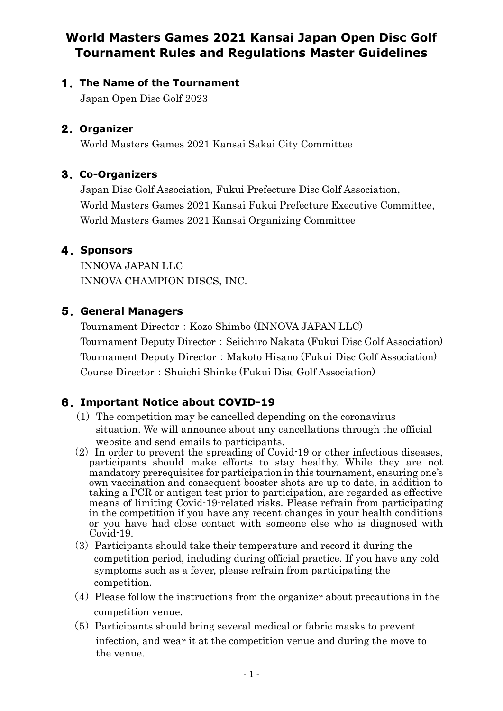# **World Masters Games 2021 Kansai Japan Open Disc Golf Tournament Rules and Regulations Master Guidelines**

#### 1.**The Name of the Tournament**

Japan Open Disc Golf 2023

#### 2.**Organizer**

World Masters Games 2021 Kansai Sakai City Committee

## 3.**Co-Organizers**

Japan Disc Golf Association, Fukui Prefecture Disc Golf Association, World Masters Games 2021 Kansai Fukui Prefecture Executive Committee, World Masters Games 2021 Kansai Organizing Committee

## 4.**Sponsors**

INNOVA JAPAN LLC INNOVA CHAMPION DISCS, INC.

## 5.**General Managers**

Tournament Director: Kozo Shimbo (INNOVA JAPAN LLC) Tournament Deputy Director:Seiichiro Nakata (Fukui Disc Golf Association) Tournament Deputy Director: Makoto Hisano (Fukui Disc Golf Association) Course Director:Shuichi Shinke (Fukui Disc Golf Association)

## 6.**Important Notice about COVID-19**

- $(1)$  The competition may be cancelled depending on the coronavirus situation. We will announce about any cancellations through the official website and send emails to participants.
- $(2)$  In order to prevent the spreading of Covid-19 or other infectious diseases, participants should make efforts to stay healthy. While they are not mandatory prerequisites for participation in this tournament, ensuring one's own vaccination and consequent booster shots are up to date, in addition to taking a PCR or antigen test prior to participation, are regarded as effective means of limiting Covid-19-related risks. Please refrain from participating in the competition if you have any recent changes in your health conditions or you have had close contact with someone else who is diagnosed with Covid-19.
- $(3)$  Participants should take their temperature and record it during the competition period, including during official practice. If you have any cold symptoms such as a fever, please refrain from participating the competition.
- $(4)$  Please follow the instructions from the organizer about precautions in the competition venue.
- (5)Participants should bring several medical or fabric masks to prevent infection, and wear it at the competition venue and during the move to the venue.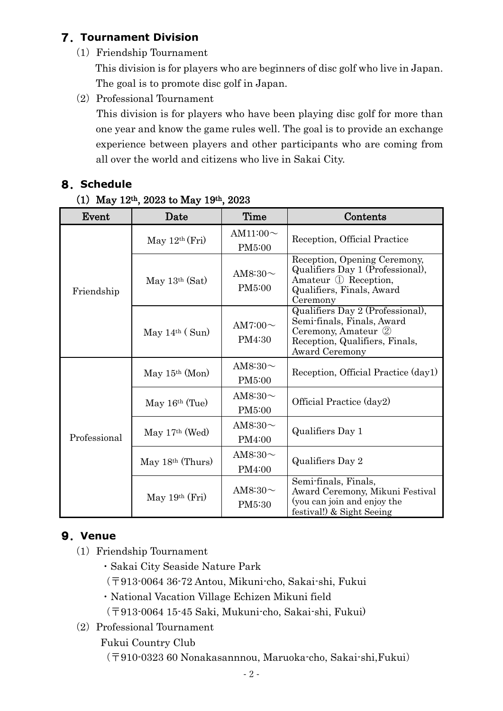# 7.**Tournament Division**

(1) Friendship Tournament

This division is for players who are beginners of disc golf who live in Japan. The goal is to promote disc golf in Japan.

(2) Professional Tournament

 This division is for players who have been playing disc golf for more than one year and know the game rules well. The goal is to provide an exchange experience between players and other participants who are coming from all over the world and citizens who live in Sakai City.

## 8.**Schedule**

#### (1) May  $12^{th}$ , 2023 to May  $19^{th}$ , 2023

| Event        | Date               | Time                     | Contents                                                                                                                                  |
|--------------|--------------------|--------------------------|-------------------------------------------------------------------------------------------------------------------------------------------|
|              | May $12th$ (Fri)   | AM11:00 $\sim$<br>PM5:00 | Reception, Official Practice                                                                                                              |
| Friendship   | May $13th$ (Sat)   | AM8:30 $\sim$<br>PM5:00  | Reception, Opening Ceremony,<br>Qualifiers Day 1 (Professional),<br>Amateur ① Reception,<br>Qualifiers, Finals, Award<br>Ceremony         |
|              | May $14th$ (Sun)   | AM7:00 $\sim$<br>PM4:30  | Qualifiers Day 2 (Professional),<br>Semi-finals, Finals, Award<br>Ceremony, Amateur 2<br>Reception, Qualifiers, Finals,<br>Award Ceremony |
|              | May $15th$ (Mon)   | AM8:30 $\sim$<br>PM5:00  | Reception, Official Practice (day1)                                                                                                       |
| Professional | May $16th$ (Tue)   | AM8:30 $\sim$<br>PM5:00  | Official Practice (day2)                                                                                                                  |
|              | May $17th$ (Wed)   | AM8:30 $\sim$<br>PM4:00  | Qualifiers Day 1                                                                                                                          |
|              | May $18th$ (Thurs) | AM8:30 $\sim$<br>PM4:00  | Qualifiers Day 2                                                                                                                          |
|              | May $19th$ (Fri)   | AM8:30 $\sim$<br>PM5:30  | Semi-finals, Finals,<br>Award Ceremony, Mikuni Festival<br>(you can join and enjoy the<br>festival!) & Sight Seeing                       |

# 9.**Venue**

- (1) Friendship Tournament
	- ・Sakai City Seaside Nature Park
	- (〒913-0064 36-72 Antou, Mikuni-cho, Sakai-shi, Fukui
	- ・National Vacation Village Echizen Mikuni field
	- (〒913-0064 15-45 Saki, Mukuni-cho, Sakai-shi, Fukui)
- (2) Professional Tournament

Fukui Country Club

(〒910-0323 60 Nonakasannnou, Maruoka-cho, Sakai-shi,Fukui)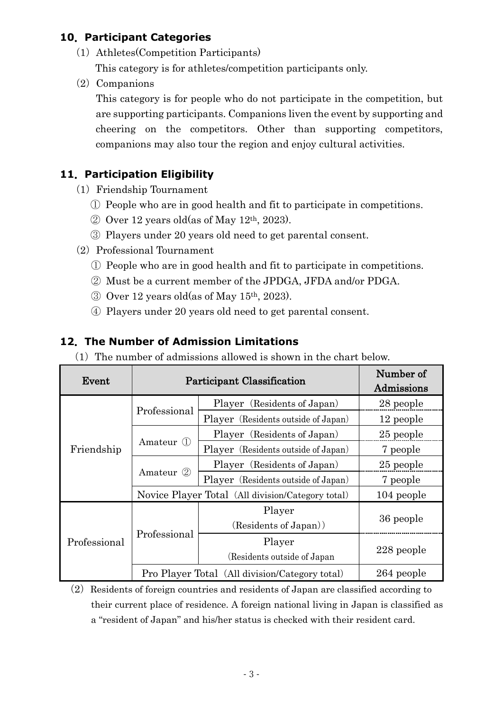## **10**.**Participant Categories**

- (1)Athletes(Competition Participants) This category is for athletes/competition participants only.
- $(2)$  Companions

This category is for people who do not participate in the competition, but are supporting participants. Companions liven the event by supporting and cheering on the competitors. Other than supporting competitors, companions may also tour the region and enjoy cultural activities.

#### **11**.**Participation Eligibility**

- (1) Friendship Tournament
	- ① People who are in good health and fit to participate in competitions.
	- $\oslash$  Over 12 years old(as of May 12<sup>th</sup>, 2023).
	- ③ Players under 20 years old need to get parental consent.
- (2) Professional Tournament
	- ① People who are in good health and fit to participate in competitions.
	- ② Must be a current member of the JPDGA, JFDA and/or PDGA.
	- ③ Over 12 years old(as of May 15th, 2023).
	- ④ Players under 20 years old need to get parental consent.

#### **12**.**The Number of Admission Limitations**

 $(1)$  The number of admissions allowed is shown in the chart below.

| Event        |                                                   | Participant Classification             | Number of<br>Admissions |
|--------------|---------------------------------------------------|----------------------------------------|-------------------------|
|              |                                                   | Player (Residents of Japan)            | 28 people               |
|              | Professional                                      | Player (Residents outside of Japan)    | 12 people               |
|              | Amateur 1                                         | Player (Residents of Japan)            | 25 people               |
| Friendship   |                                                   | Player (Residents outside of Japan)    | 7 people                |
|              | Amateur 2                                         | Player (Residents of Japan)            | 25 people               |
|              |                                                   | Player (Residents outside of Japan)    | 7 people                |
|              | Novice Player Total (All division/Category total) |                                        | 104 people              |
|              |                                                   | Player<br>(Residents of Japan))        | 36 people               |
| Professional | Professional                                      | Player<br>(Residents outside of Japan) | 228 people              |
|              | Pro Player Total (All division/Category total)    |                                        | 264 people              |

 $(2)$  Residents of foreign countries and residents of Japan are classified according to their current place of residence. A foreign national living in Japan is classified as a "resident of Japan" and his/her status is checked with their resident card.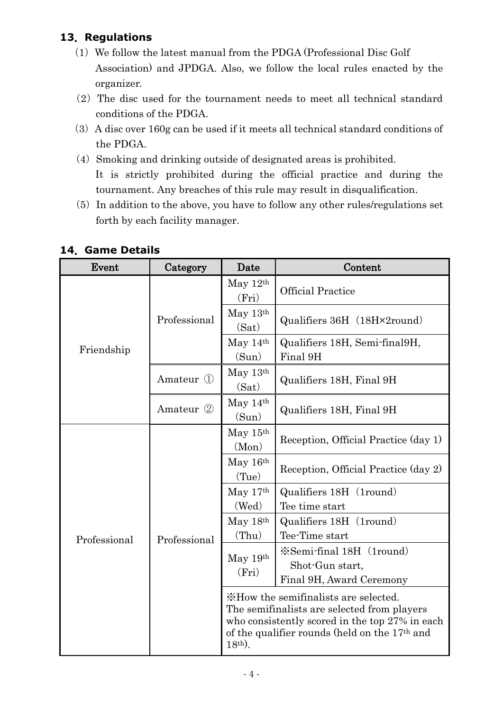# **13**.**Regulations**

- $(1)$  We follow the latest manual from the PDGA (Professional Disc Golf Association) and JPDGA. Also, we follow the local rules enacted by the organizer.
- $(2)$  The disc used for the tournament needs to meet all technical standard conditions of the PDGA.
- $(3)$  A disc over 160g can be used if it meets all technical standard conditions of the PDGA.
- (4) Smoking and drinking outside of designated areas is prohibited. It is strictly prohibited during the official practice and during the tournament. Any breaches of this rule may result in disqualification.
- $(5)$  In addition to the above, you have to follow any other rules/regulations set forth by each facility manager.

| Event        | Category     | Date                | Content                                                                                                                                                                                            |  |
|--------------|--------------|---------------------|----------------------------------------------------------------------------------------------------------------------------------------------------------------------------------------------------|--|
|              | Professional | May $12th$<br>(Fri) | <b>Official Practice</b>                                                                                                                                                                           |  |
|              |              | May $13th$<br>(Sat) | Qualifiers 36H (18H×2round)                                                                                                                                                                        |  |
| Friendship   |              | May $14th$<br>(Sun) | Qualifiers 18H, Semi-final9H,<br>Final 9H                                                                                                                                                          |  |
|              | Amateur (1)  | May $13th$<br>(Sat) | Qualifiers 18H, Final 9H                                                                                                                                                                           |  |
|              | Amateur (2)  | May $14th$<br>(Sun) | Qualifiers 18H, Final 9H                                                                                                                                                                           |  |
|              |              | May $15th$<br>(Mon) | Reception, Official Practice (day 1)                                                                                                                                                               |  |
|              |              | May $16th$<br>(Tue) | Reception, Official Practice (day 2)                                                                                                                                                               |  |
|              |              | May $17th$          | Qualifiers 18H (1round)                                                                                                                                                                            |  |
|              |              | (Wed)               |                                                                                                                                                                                                    |  |
|              |              | May 18th            | Qualifiers 18H (1round)                                                                                                                                                                            |  |
| Professional | Professional | (Thu)               | Tee time start<br>Tee-Time start                                                                                                                                                                   |  |
|              |              | May $19th$          | X Semi-final 18H (1 round)                                                                                                                                                                         |  |
|              |              | (Fri)               | Shot-Gun start,                                                                                                                                                                                    |  |
|              |              |                     | Final 9H, Award Ceremony                                                                                                                                                                           |  |
|              |              | $18th$ ).           | *How the semifinalists are selected.<br>The semifinalists are selected from players<br>who consistently scored in the top 27% in each<br>of the qualifier rounds (held on the 17 <sup>th</sup> and |  |

## **14**.**Game Details**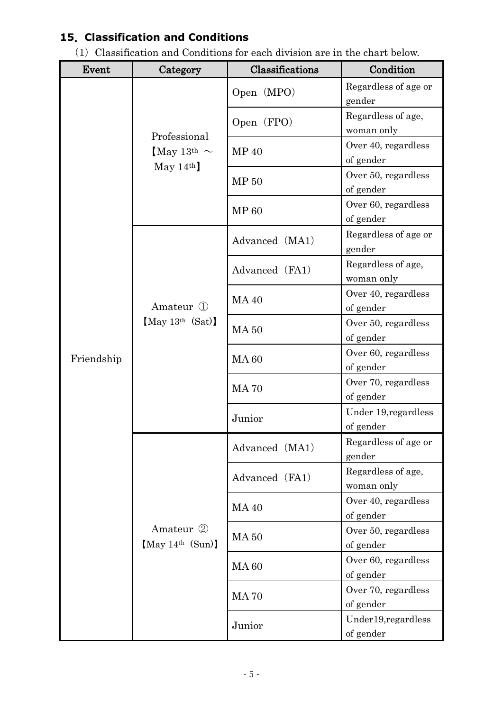# **15**.**Classification and Conditions**

 $(1)$  Classification and Conditions for each division are in the chart below.

| Event      | Category                                    | Classifications | Condition                         |
|------------|---------------------------------------------|-----------------|-----------------------------------|
|            | Professional<br>May 13 <sup>th</sup> $\sim$ | Open (MPO)      | Regardless of age or<br>gender    |
|            |                                             | Open (FPO)      | Regardless of age,<br>woman only  |
|            |                                             | MP 40           | Over 40, regardless<br>of gender  |
|            | May $14th$                                  | MP 50           | Over 50, regardless<br>of gender  |
|            |                                             | <b>MP 60</b>    | Over 60, regardless<br>of gender  |
|            |                                             | Advanced (MA1)  | Regardless of age or<br>gender    |
|            |                                             | Advanced (FA1)  | Regardless of age,<br>woman only  |
| Friendship | Amateur (1)                                 | <b>MA40</b>     | Over 40, regardless<br>of gender  |
|            | [May 13 <sup>th</sup> (Sat)]                | <b>MA 50</b>    | Over 50, regardless<br>of gender  |
|            |                                             | <b>MA60</b>     | Over 60, regardless<br>of gender  |
|            |                                             | <b>MA70</b>     | Over 70, regardless<br>of gender  |
|            |                                             | Junior          | Under 19, regardless<br>of gender |
|            |                                             | Advanced (MA1)  | Regardless of age or<br>gender    |
|            |                                             | Advanced (FA1)  | Regardless of age,<br>woman only  |
|            |                                             | <b>MA40</b>     | Over 40, regardless<br>of gender  |
|            | Amateur 2<br>[May 14 <sup>th</sup> (Sun)]   | <b>MA 50</b>    | Over 50, regardless<br>of gender  |
|            |                                             | <b>MA60</b>     | Over 60, regardless<br>of gender  |
|            |                                             | <b>MA70</b>     | Over 70, regardless<br>of gender  |
|            |                                             | Junior          | Under19, regardless<br>of gender  |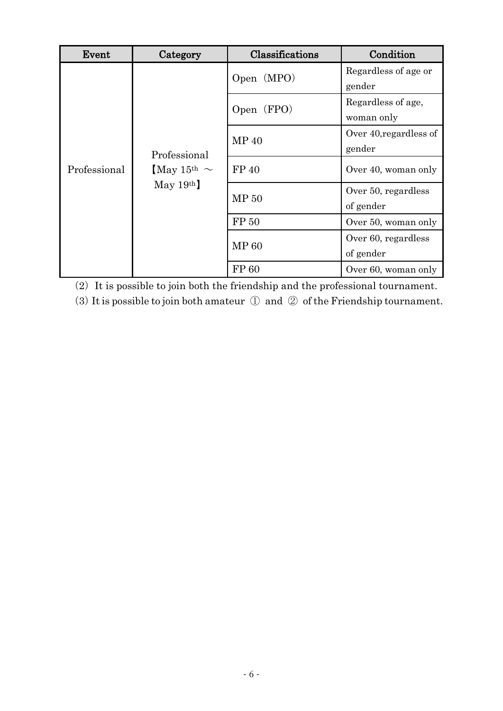| Event        | Category                                                   | Classifications                     | Condition              |
|--------------|------------------------------------------------------------|-------------------------------------|------------------------|
|              | Professional<br>[May 15 <sup>th</sup> $\sim$<br>May $19th$ | Open (MPO)                          | Regardless of age or   |
|              |                                                            |                                     | gender                 |
|              |                                                            |                                     | Regardless of age,     |
|              |                                                            | Open (FPO)                          | woman only             |
|              |                                                            | MP 40                               | Over 40, regardless of |
| Professional |                                                            |                                     | gender                 |
|              |                                                            | FP 40                               | Over 40, woman only    |
|              |                                                            | MP 50<br>of gender<br>${\rm FP}$ 50 | Over 50, regardless    |
|              |                                                            |                                     |                        |
|              |                                                            |                                     | Over 50, woman only    |
|              |                                                            |                                     | Over 60, regardless    |
|              |                                                            | <b>MP 60</b>                        | of gender              |
|              |                                                            | FP 60                               | Over 60, woman only    |

 $(2)$  It is possible to join both the friendship and the professional tournament.

(3) It is possible to join both amateur  $\mathbb D$  and  $\mathscr D$  of the Friendship tournament.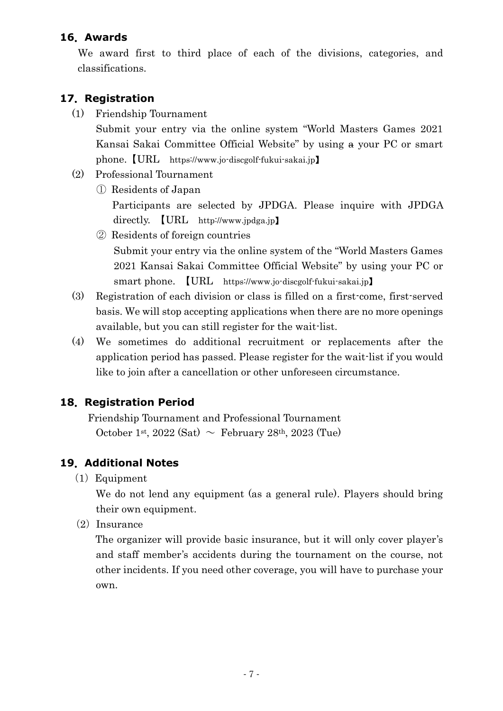#### **16**.**Awards**

We award first to third place of each of the divisions, categories, and classifications.

## **17**.**Registration**

(1) Friendship Tournament

Submit your entry via the online system "World Masters Games 2021 Kansai Sakai Committee Official Website" by using a your PC or smart phone.【URL https://www.jo-discgolf-fukui-sakai.jp】

- (2) Professional Tournament
	- ① Residents of Japan Participants are selected by JPDGA. Please inquire with JPDGA directly. **[URL** http://www.jpdga.jp**]** 
		- ② Residents of foreign countries Submit your entry via the online system of the "World Masters Games 2021 Kansai Sakai Committee Official Website" by using your PC or smart phone. 【URL https://www.jo-discgolf-fukui-sakai.jp】
- (3) Registration of each division or class is filled on a first-come, first-served basis. We will stop accepting applications when there are no more openings available, but you can still register for the wait-list.
- (4) We sometimes do additional recruitment or replacements after the application period has passed. Please register for the wait-list if you would like to join after a cancellation or other unforeseen circumstance.

## **18**.**Registration Period**

Friendship Tournament and Professional Tournament October 1st, 2022 (Sat)  $\sim$  February 28<sup>th</sup>, 2023 (Tue)

## **19**.**Additional Notes**

(1)Equipment

We do not lend any equipment (as a general rule). Players should bring their own equipment.

 $(2)$  Insurance

 The organizer will provide basic insurance, but it will only cover player's and staff member's accidents during the tournament on the course, not other incidents. If you need other coverage, you will have to purchase your own.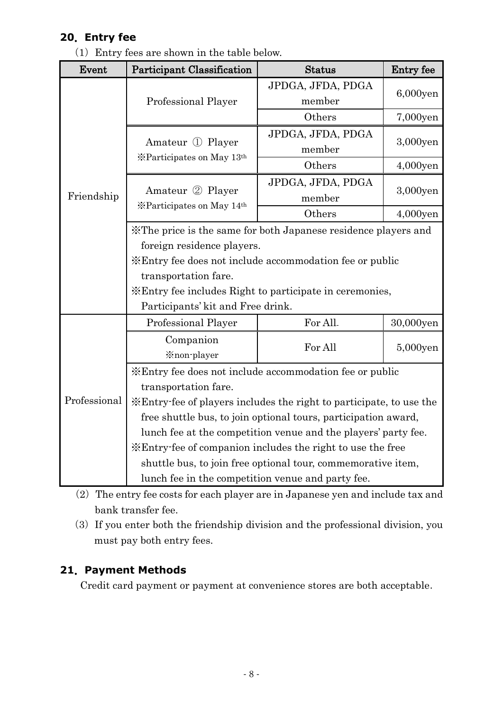## **20**.**Entry fee**

(1)Entry fees are shown in the table below.

| Event        | Participant Classification                                          | <b>Status</b>     | Entry fee   |  |  |
|--------------|---------------------------------------------------------------------|-------------------|-------------|--|--|
|              |                                                                     | JPDGA, JFDA, PDGA | 6,000yen    |  |  |
|              | Professional Player                                                 | member            |             |  |  |
|              |                                                                     | Others            | 7,000yen    |  |  |
|              | Amateur ① Player                                                    | JPDGA, JFDA, PDGA | 3,000yen    |  |  |
|              | *Participates on May 13th                                           | member            |             |  |  |
|              |                                                                     | Others            | $4,000$ yen |  |  |
|              |                                                                     | JPDGA, JFDA, PDGA |             |  |  |
| Friendship   | Amateur 2 Player<br>*Participates on May 14th                       | member            | 3,000yen    |  |  |
|              |                                                                     | Others            | 4,000yen    |  |  |
|              | X The price is the same for both Japanese residence players and     |                   |             |  |  |
|              | foreign residence players.                                          |                   |             |  |  |
|              | *Entry fee does not include accommodation fee or public             |                   |             |  |  |
|              | transportation fare.                                                |                   |             |  |  |
|              | <b>Entry fee includes Right to participate in ceremonies,</b>       |                   |             |  |  |
|              | Participants' kit and Free drink.                                   |                   |             |  |  |
|              | Professional Player                                                 | For All-          | 30,000yen   |  |  |
|              | Companion                                                           | For All           | 5,000yen    |  |  |
|              | <i><b>Xnon-player</b></i>                                           |                   |             |  |  |
|              | *Entry fee does not include accommodation fee or public             |                   |             |  |  |
|              | transportation fare.                                                |                   |             |  |  |
| Professional | *Entry fee of players includes the right to participate, to use the |                   |             |  |  |
|              | free shuttle bus, to join optional tours, participation award,      |                   |             |  |  |
|              | lunch fee at the competition venue and the players' party fee.      |                   |             |  |  |
|              | *Entry-fee of companion includes the right to use the free          |                   |             |  |  |
|              | shuttle bus, to join free optional tour, commemorative item,        |                   |             |  |  |
|              | lunch fee in the competition venue and party fee.                   |                   |             |  |  |

- (2) The entry fee costs for each player are in Japanese yen and include tax and bank transfer fee.
- (3)If you enter both the friendship division and the professional division, you must pay both entry fees.

## **21**.**Payment Methods**

Credit card payment or payment at convenience stores are both acceptable.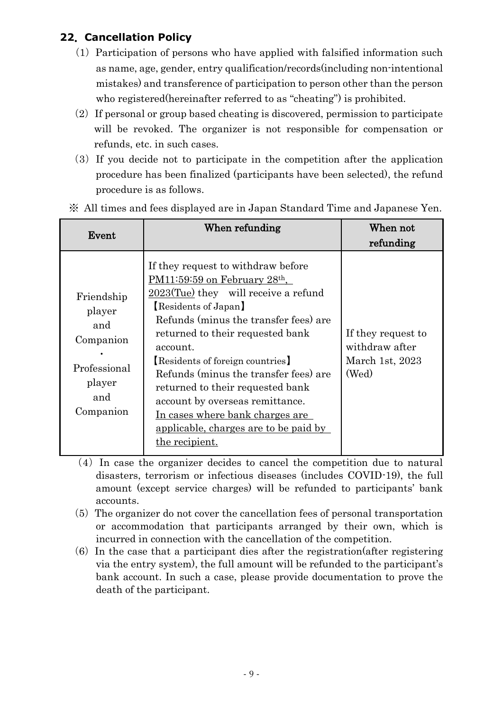## **22**.**Cancellation Policy**

- $(1)$  Participation of persons who have applied with falsified information such as name, age, gender, entry qualification/records(including non-intentional mistakes) and transference of participation to person other than the person who registered(hereinafter referred to as "cheating") is prohibited.
- $(2)$  If personal or group based cheating is discovered, permission to participate will be revoked. The organizer is not responsible for compensation or refunds, etc. in such cases.
- (3)If you decide not to participate in the competition after the application procedure has been finalized (participants have been selected), the refund procedure is as follows.

| Event                                                                                  | When refunding                                                                                                                                                                                                                                                                                                                                                                                                                                                                                            | When not<br>refunding                                            |
|----------------------------------------------------------------------------------------|-----------------------------------------------------------------------------------------------------------------------------------------------------------------------------------------------------------------------------------------------------------------------------------------------------------------------------------------------------------------------------------------------------------------------------------------------------------------------------------------------------------|------------------------------------------------------------------|
| Friendship<br>player<br>and<br>Companion<br>Professional<br>player<br>and<br>Companion | If they request to withdraw before<br>$PM11:59:59$ on February 28 <sup>th</sup> ,<br>$2023$ (Tue) they will receive a refund<br>Residents of Japan<br>Refunds (minus the transfer fees) are<br>returned to their requested bank<br>account.<br><b>Residents of foreign countries</b><br>Refunds (minus the transfer fees) are<br>returned to their requested bank<br>account by overseas remittance.<br>In cases where bank charges are<br><u>applicable, charges are to be paid by</u><br>the recipient. | If they request to<br>withdraw after<br>March 1st, 2023<br>(Wed) |

※ All times and fees displayed are in Japan Standard Time and Japanese Yen.

- (4)In case the organizer decides to cancel the competition due to natural disasters, terrorism or infectious diseases (includes COVID-19), the full amount (except service charges) will be refunded to participants' bank accounts.
- $(5)$  The organizer do not cover the cancellation fees of personal transportation or accommodation that participants arranged by their own, which is incurred in connection with the cancellation of the competition.
- $(6)$  In the case that a participant dies after the registration (after registering via the entry system), the full amount will be refunded to the participant's bank account. In such a case, please provide documentation to prove the death of the participant.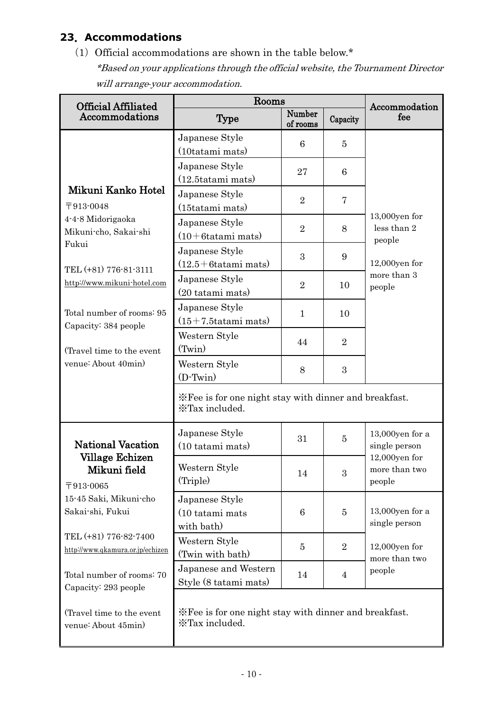# **23**.**Accommodations**

(1) Official accommodations are shown in the table below. $*$ 

\*Based on your applications through the official website, the Tournament Director will arrange your accommodation.

| <b>Official Affiliated</b>       | Rooms                                                                    |                    |                  | Accommodation                       |
|----------------------------------|--------------------------------------------------------------------------|--------------------|------------------|-------------------------------------|
| Accommodations                   | <b>Type</b>                                                              | Number<br>of rooms | Capacity         | fee                                 |
|                                  | Japanese Style                                                           | 6                  | $\overline{5}$   |                                     |
|                                  | (10tatami mats)                                                          |                    |                  |                                     |
|                                  | Japanese Style                                                           | 27                 | 6                |                                     |
|                                  | $(12.5 \text{tatami mats})$                                              |                    |                  |                                     |
| Mikuni Kanko Hotel               | Japanese Style                                                           | $\overline{2}$     | $\overline{7}$   |                                     |
| 〒913-0048                        | (15tatami mats)                                                          |                    |                  | 13,000yen for                       |
| 4-4-8 Midorigaoka                | Japanese Style                                                           | $\overline{2}$     | 8                | less than 2                         |
| Mikuni-cho, Sakai-shi<br>Fukui   | $(10+6tatani mats)$                                                      |                    |                  | people                              |
|                                  | Japanese Style                                                           | $\boldsymbol{3}$   | 9                |                                     |
| TEL (+81) 776-81-3111            | $(12.5 + 6$ tatami mats)                                                 |                    |                  | $12,000$ yen for                    |
| http://www.mikuni-hotel.com      | Japanese Style                                                           | $\overline{2}$     | 10               | more than 3<br>people               |
|                                  | $(20 \text{ tatani mats})$                                               |                    |                  |                                     |
| Total number of rooms: 95        | Japanese Style                                                           | $\mathbf{1}$       | 10               |                                     |
| Capacity: 384 people             | $(15+7.5tatami \text{ mats})$                                            |                    |                  |                                     |
|                                  | Western Style                                                            | 44                 | $\overline{2}$   |                                     |
| (Travel time to the event        | (Twin)                                                                   |                    |                  |                                     |
| venue: About 40min)              | Western Style                                                            | 8                  | 3                |                                     |
|                                  | $(D-Twin)$                                                               |                    |                  |                                     |
|                                  | X Fee is for one night stay with dinner and breakfast.<br>XTax included. |                    |                  |                                     |
|                                  |                                                                          |                    |                  |                                     |
| <b>National Vacation</b>         | Japanese Style<br>(10 tatami mats)                                       | 31                 | $\overline{5}$   | $13,000$ yen for a<br>single person |
| Village Echizen                  |                                                                          |                    |                  | $12,000$ yen for                    |
| Mikuni field                     | Western Style                                                            | 14                 | $\boldsymbol{3}$ | more than two                       |
| 〒913-0065                        | (Triple)                                                                 |                    |                  | people                              |
| 15-45 Saki, Mikuni-cho           | Japanese Style                                                           |                    |                  |                                     |
| Sakai-shi, Fukui                 | (10 tatami mats                                                          | 6                  | $\overline{5}$   | $13,000$ yen for a                  |
|                                  | with bath)                                                               |                    |                  | single person                       |
| TEL (+81) 776-82-7400            | Western Style                                                            | $\overline{5}$     | $\overline{2}$   | $12,000$ yen for                    |
| http://www.qkamura.or.jp/echizen | (Twin with bath)                                                         |                    |                  | more than two                       |
| Total number of rooms: 70        | Japanese and Western                                                     | 14                 | $\overline{4}$   | people                              |
| Capacity: 293 people             | Style (8 tatami mats)                                                    |                    |                  |                                     |
|                                  |                                                                          |                    |                  |                                     |
| (Travel time to the event        | X Fee is for one night stay with dinner and breakfast.                   |                    |                  |                                     |
| venue: About 45min)              | XTax included.                                                           |                    |                  |                                     |
|                                  |                                                                          |                    |                  |                                     |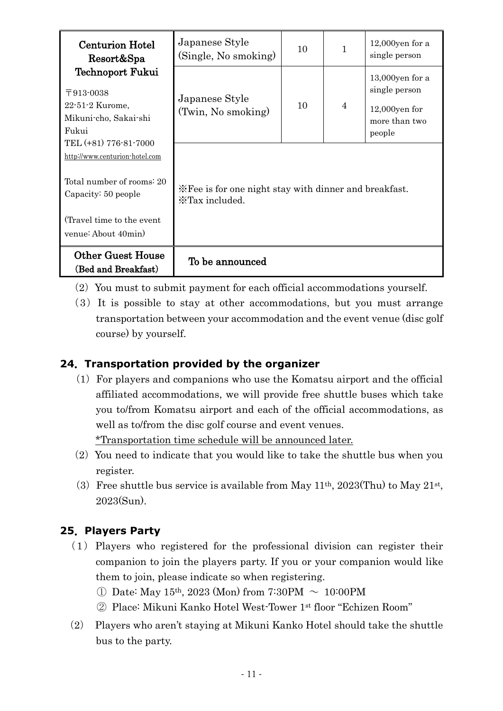| <b>Centurion Hotel</b><br>Resort&Spa                                               | Japanese Style<br>(Single, No smoking)                                   | 10 | $\mathbf{1}$ | $12,000$ yen for a<br>single person                                                |
|------------------------------------------------------------------------------------|--------------------------------------------------------------------------|----|--------------|------------------------------------------------------------------------------------|
| Technoport Fukui<br>〒913-0038<br>22-51-2 Kurome,<br>Mikuni-cho, Sakai-shi<br>Fukui | Japanese Style<br>(Twin, No smoking)                                     | 10 | 4            | $13,000$ yen for a<br>single person<br>$12,000$ yen for<br>more than two<br>people |
| TEL (+81) 776-81-7000<br>http://www.centurion-hotel.com                            |                                                                          |    |              |                                                                                    |
| Total number of rooms: 20<br>Capacity: 50 people                                   | X Fee is for one night stay with dinner and breakfast.<br>XTax included. |    |              |                                                                                    |
| (Travel time to the event)<br>venue: About 40min)                                  |                                                                          |    |              |                                                                                    |
| <b>Other Guest House</b><br>(Bed and Breakfast)                                    | To be announced                                                          |    |              |                                                                                    |

- $(2)$  You must to submit payment for each official accommodations yourself.
- $(3)$  It is possible to stay at other accommodations, but you must arrange transportation between your accommodation and the event venue (disc golf course) by yourself.

## **24**.**Transportation provided by the organizer**

 $(1)$  For players and companions who use the Komatsu airport and the official affiliated accommodations, we will provide free shuttle buses which take you to/from Komatsu airport and each of the official accommodations, as well as to/from the disc golf course and event venues.

\*Transportation time schedule will be announced later.

- $(2)$  You need to indicate that you would like to take the shuttle bus when you register.
- (3) Free shuttle bus service is available from May  $11<sup>th</sup>$ ,  $2023$ (Thu) to May  $21<sup>st</sup>$ , 2023(Sun).

## **25**.**Players Party**

- $(1)$  Players who registered for the professional division can register their companion to join the players party. If you or your companion would like them to join, please indicate so when registering.
	- ① Date: May 15th, 2023 (Mon) from 7:30PM ~ 10:00PM
	- ② Place: Mikuni Kanko Hotel West-Tower 1st floor "Echizen Room"
- (2) Players who aren't staying at Mikuni Kanko Hotel should take the shuttle bus to the party.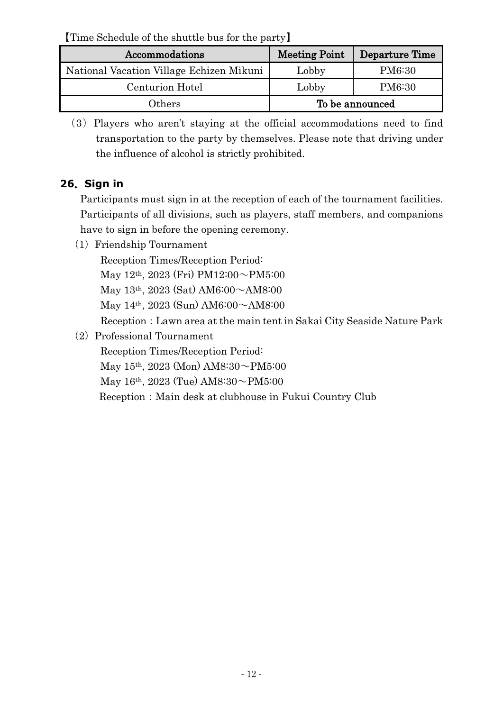【Time Schedule of the shuttle bus for the party】

| Accommodations                           | <b>Meeting Point</b> | Departure Time  |
|------------------------------------------|----------------------|-----------------|
| National Vacation Village Echizen Mikuni | Lobby                | PM6:30          |
| Centurion Hotel                          | Lobby                | PM6:30          |
| Others                                   |                      | To be announced |

(3)Players who aren't staying at the official accommodations need to find transportation to the party by themselves. Please note that driving under the influence of alcohol is strictly prohibited.

# **26**.**Sign in**

Participants must sign in at the reception of each of the tournament facilities. Participants of all divisions, such as players, staff members, and companions have to sign in before the opening ceremony.

(1) Friendship Tournament

Reception Times/Reception Period:

May 12th, 2023 (Fri) PM12:00~PM5:00

May 13th, 2023 (Sat) AM6:00~AM8:00

May 14th, 2023 (Sun) AM6:00~AM8:00

Reception: Lawn area at the main tent in Sakai City Seaside Nature Park

(2) Professional Tournament

Reception Times/Reception Period:

May 15th, 2023 (Mon) AM8:30~PM5:00

May 16<sup>th</sup>, 2023 (Tue) AM8:30 $\sim$ PM5:00

Reception: Main desk at clubhouse in Fukui Country Club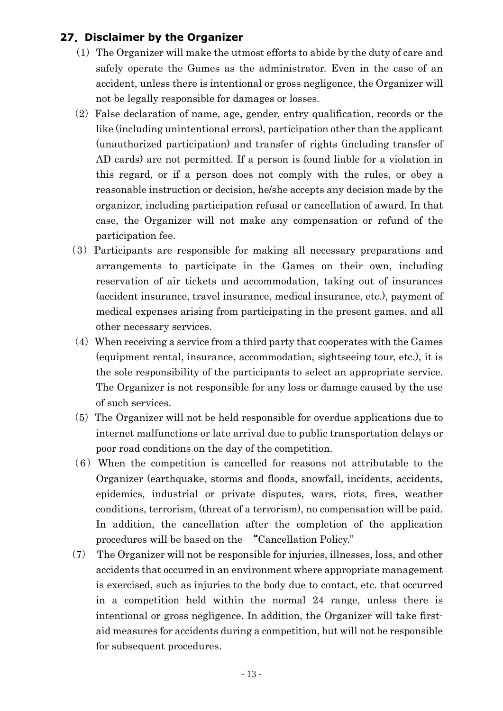#### **27**.**Disclaimer by the Organizer**

- $(1)$  The Organizer will make the utmost efforts to abide by the duty of care and safely operate the Games as the administrator. Even in the case of an accident, unless there is intentional or gross negligence, the Organizer will not be legally responsible for damages or losses.
- $(2)$  False declaration of name, age, gender, entry qualification, records or the like (including unintentional errors), participation other than the applicant (unauthorized participation) and transfer of rights (including transfer of AD cards) are not permitted. If a person is found liable for a violation in this regard, or if a person does not comply with the rules, or obey a reasonable instruction or decision, he/she accepts any decision made by the organizer, including participation refusal or cancellation of award. In that case, the Organizer will not make any compensation or refund of the participation fee.
- (3)Participants are responsible for making all necessary preparations and arrangements to participate in the Games on their own, including reservation of air tickets and accommodation, taking out of insurances (accident insurance, travel insurance, medical insurance, etc.), payment of medical expenses arising from participating in the present games, and all other necessary services.
- $(4)$  When receiving a service from a third party that cooperates with the Games (equipment rental, insurance, accommodation, sightseeing tour, etc.), it is the sole responsibility of the participants to select an appropriate service. The Organizer is not responsible for any loss or damage caused by the use of such services.
- (5)The Organizer will not be held responsible for overdue applications due to internet malfunctions or late arrival due to public transportation delays or poor road conditions on the day of the competition.
- $(6)$  When the competition is cancelled for reasons not attributable to the Organizer (earthquake, storms and floods, snowfall, incidents, accidents, epidemics, industrial or private disputes, wars, riots, fires, weather conditions, terrorism, (threat of a terrorism), no compensation will be paid. In addition, the cancellation after the completion of the application procedures will be based on the "Cancellation Policy."
- (7) The Organizer will not be responsible for injuries, illnesses, loss, and other accidents that occurred in an environment where appropriate management is exercised, such as injuries to the body due to contact, etc. that occurred in a competition held within the normal 24 range, unless there is intentional or gross negligence. In addition, the Organizer will take firstaid measures for accidents during a competition, but will not be responsible for subsequent procedures.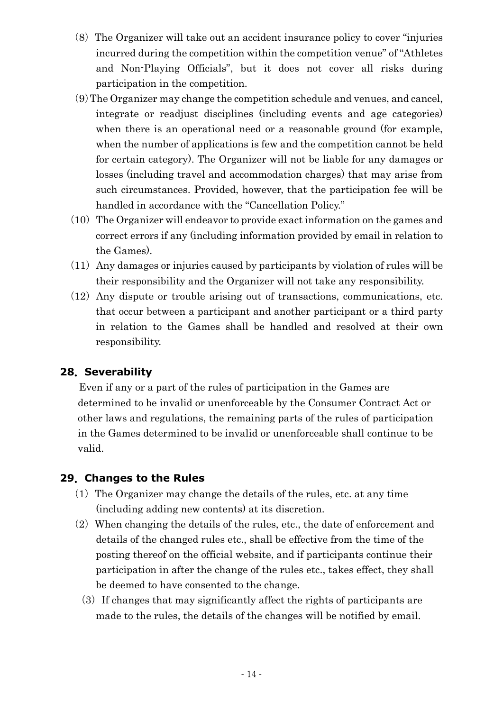- (8)The Organizer will take out an accident insurance policy to cover "injuries incurred during the competition within the competition venue" of "Athletes and Non-Playing Officials", but it does not cover all risks during participation in the competition.
- (9)The Organizer may change the competition schedule and venues, and cancel, integrate or readjust disciplines (including events and age categories) when there is an operational need or a reasonable ground (for example, when the number of applications is few and the competition cannot be held for certain category). The Organizer will not be liable for any damages or losses (including travel and accommodation charges) that may arise from such circumstances. Provided, however, that the participation fee will be handled in accordance with the "Cancellation Policy."
- $(10)$  The Organizer will endeavor to provide exact information on the games and correct errors if any (including information provided by email in relation to the Games).
- $(11)$  Any damages or injuries caused by participants by violation of rules will be their responsibility and the Organizer will not take any responsibility.
- $(12)$  Any dispute or trouble arising out of transactions, communications, etc. that occur between a participant and another participant or a third party in relation to the Games shall be handled and resolved at their own responsibility.

#### **28**.**Severability**

Even if any or a part of the rules of participation in the Games are determined to be invalid or unenforceable by the Consumer Contract Act or other laws and regulations, the remaining parts of the rules of participation in the Games determined to be invalid or unenforceable shall continue to be valid.

## **29**.**Changes to the Rules**

- $(1)$  The Organizer may change the details of the rules, etc. at any time (including adding new contents) at its discretion.
- $(2)$  When changing the details of the rules, etc., the date of enforcement and details of the changed rules etc., shall be effective from the time of the posting thereof on the official website, and if participants continue their participation in after the change of the rules etc., takes effect, they shall be deemed to have consented to the change.
	- $(3)$  If changes that may significantly affect the rights of participants are made to the rules, the details of the changes will be notified by email.